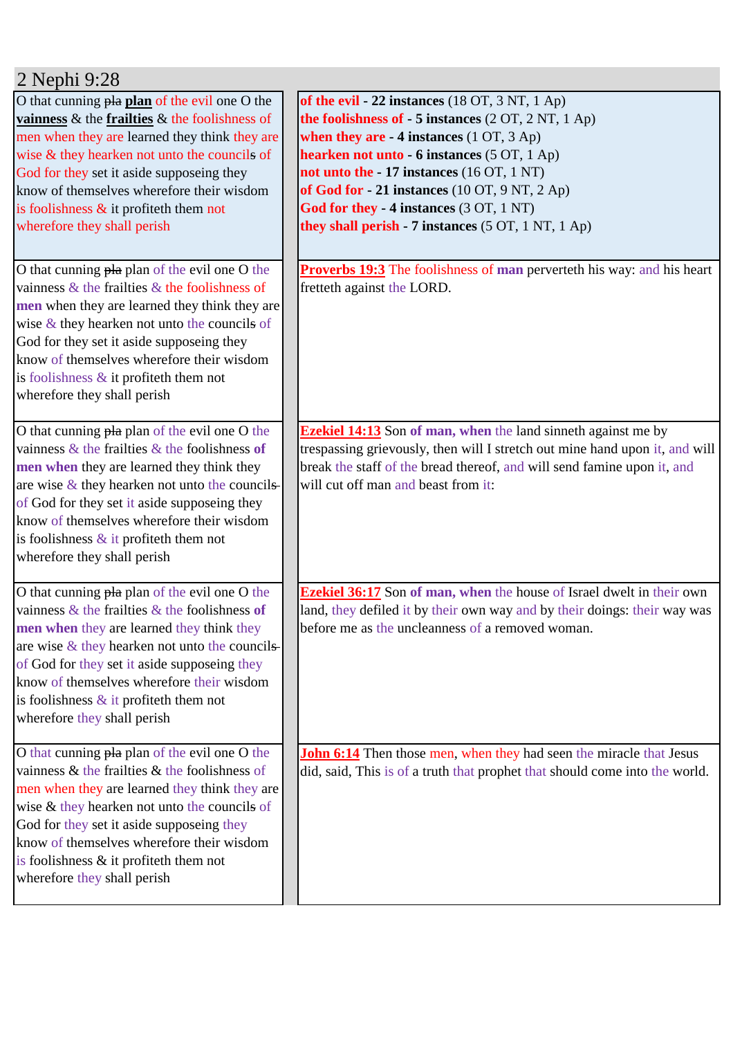| 2 Nephi 9:28                                                                                                                                                                                                                                                                                                                                                                    |                                                                                                                                                                                                                                                                                                                                                                                                       |
|---------------------------------------------------------------------------------------------------------------------------------------------------------------------------------------------------------------------------------------------------------------------------------------------------------------------------------------------------------------------------------|-------------------------------------------------------------------------------------------------------------------------------------------------------------------------------------------------------------------------------------------------------------------------------------------------------------------------------------------------------------------------------------------------------|
| O that cunning pla plan of the evil one O the<br>vainness $\&$ the frailties $\&$ the foolishness of<br>men when they are learned they think they are<br>wise & they hearken not unto the councils of<br>God for they set it aside supposeing they<br>know of themselves wherefore their wisdom<br>is foolishness $\&$ it profiteth them not<br>wherefore they shall perish     | of the evil - 22 instances $(18 OT, 3 NT, 1 Ap)$<br>the foolishness of - 5 instances (2 OT, 2 NT, 1 Ap)<br>when they are $-4$ instances $(1 OT, 3 Ap)$<br>hearken not unto - 6 instances (5 OT, 1 Ap)<br>not unto the - 17 instances (16 OT, 1 NT)<br>of God for $-21$ instances (10 OT, 9 NT, 2 Ap)<br>God for they - 4 instances (3 OT, 1 NT)<br>they shall perish - 7 instances (5 OT, 1 NT, 1 Ap) |
| O that cunning pla plan of the evil one O the<br>vainness $\&$ the frailties $\&$ the foolishness of<br>men when they are learned they think they are<br>wise $\&$ they hearken not unto the councils of<br>God for they set it aside supposeing they<br>know of themselves wherefore their wisdom<br>is foolishness $\&$ it profiteth them not<br>wherefore they shall perish  | <b>Proverbs 19:3</b> The foolishness of man perverteth his way: and his heart<br>fretteth against the LORD.                                                                                                                                                                                                                                                                                           |
| O that cunning pla plan of the evil one O the<br>vainness $\&$ the frailties $\&$ the foolishness of<br>men when they are learned they think they<br>are wise $\&$ they hearken not unto the councils-<br>of God for they set it aside supposeing they<br>know of themselves wherefore their wisdom<br>is foolishness $\&$ it profiteth them not<br>wherefore they shall perish | <b>Ezekiel 14:13</b> Son of man, when the land sinneth against me by<br>trespassing grievously, then will I stretch out mine hand upon it, and will<br>break the staff of the bread thereof, and will send famine upon it, and<br>will cut off man and beast from it:                                                                                                                                 |
| O that cunning pla plan of the evil one O the<br>vainness $\&$ the frailties $\&$ the foolishness of<br>men when they are learned they think they<br>are wise $&$ they hearken not unto the councils-<br>of God for they set it aside supposeing they<br>know of themselves wherefore their wisdom<br>is foolishness $\&$ it profiteth them not<br>wherefore they shall perish  | <b>Ezekiel 36:17</b> Son of man, when the house of Israel dwelt in their own<br>land, they defiled it by their own way and by their doings: their way was<br>before me as the uncleanness of a removed woman.                                                                                                                                                                                         |
| O that cunning pla plan of the evil one O the<br>vainness $\&$ the frailties $\&$ the foolishness of<br>men when they are learned they think they are<br>wise & they hearken not unto the councils of<br>God for they set it aside supposeing they<br>know of themselves wherefore their wisdom<br>is foolishness & it profiteth them not<br>wherefore they shall perish        | <b>John 6:14</b> Then those men, when they had seen the miracle that Jesus<br>did, said, This is of a truth that prophet that should come into the world.                                                                                                                                                                                                                                             |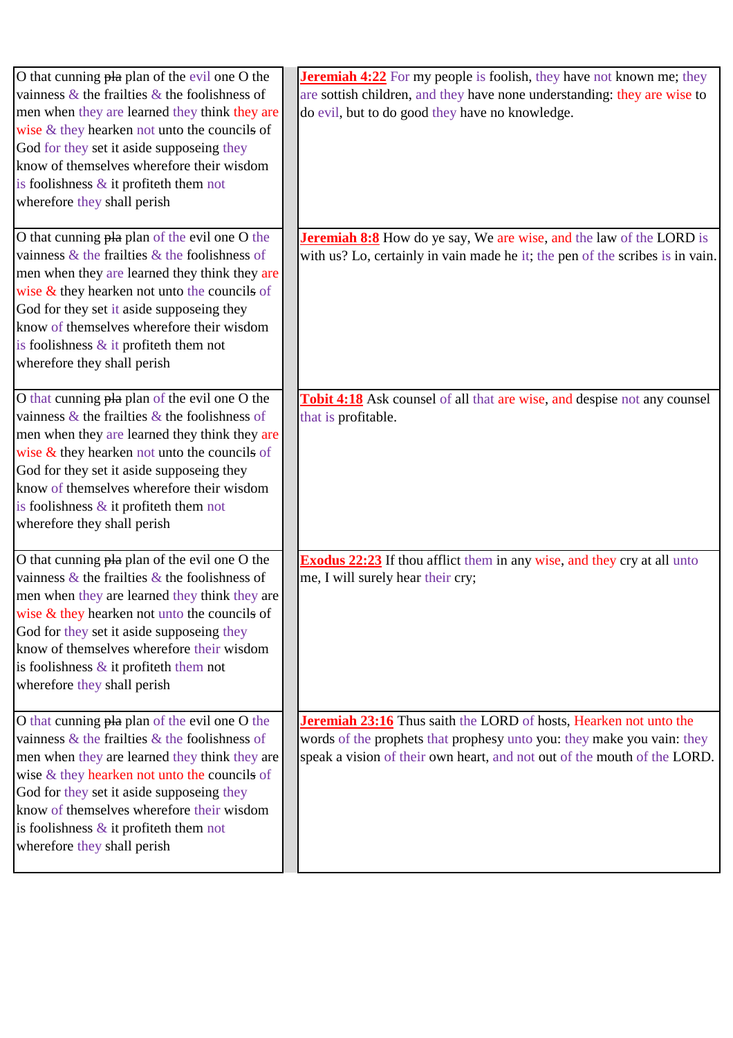| O that cunning pla plan of the evil one O the<br>vainness $\&$ the frailties $\&$ the foolishness of<br>men when they are learned they think they are<br>wise & they hearken not unto the councils of<br>God for they set it aside supposeing they<br>know of themselves wherefore their wisdom<br>is foolishness $\&$ it profiteth them not<br>wherefore they shall perish    | <b>Jeremiah 4:22</b> For my people is foolish, they have not known me; they<br>are sottish children, and they have none understanding: they are wise to<br>do evil, but to do good they have no knowledge.              |
|--------------------------------------------------------------------------------------------------------------------------------------------------------------------------------------------------------------------------------------------------------------------------------------------------------------------------------------------------------------------------------|-------------------------------------------------------------------------------------------------------------------------------------------------------------------------------------------------------------------------|
| O that cunning pla plan of the evil one O the<br>vainness $\&$ the frailties $\&$ the foolishness of<br>men when they are learned they think they are<br>wise $&$ they hearken not unto the councils of<br>God for they set it aside supposeing they<br>know of themselves wherefore their wisdom<br>is foolishness $\&$ it profiteth them not<br>wherefore they shall perish  | <b>Jeremiah 8:8</b> How do ye say, We are wise, and the law of the LORD is<br>with us? Lo, certainly in vain made he it; the pen of the scribes is in vain.                                                             |
| O that cunning pla plan of the evil one O the<br>vainness $\&$ the frailties $\&$ the foolishness of<br>men when they are learned they think they are<br>wise $&$ they hearken not unto the councils of<br>God for they set it aside supposeing they<br>know of themselves wherefore their wisdom<br>is foolishness $\&$ it profiteth them not<br>wherefore they shall perish  | <b>Tobit 4:18</b> Ask counsel of all that are wise, and despise not any counsel<br>that is profitable.                                                                                                                  |
| O that cunning pla plan of the evil one O the<br>vainness $\&$ the frailties $\&$ the foolishness of<br>men when they are learned they think they are<br>wise $&$ they hearken not unto the councils of<br>God for they set it aside supposeing they<br>know of themselves wherefore their wisdom<br>is foolishness $\&$ it profiteth them not<br>wherefore they shall perish  | <b>Exodus 22:23</b> If thou afflict them in any wise, and they cry at all unto<br>me, I will surely hear their cry;                                                                                                     |
| O that cunning pla plan of the evil one O the<br>vainness $\&$ the frailties $\&$ the foolishness of<br>men when they are learned they think they are<br>wise $\&$ they hearken not unto the councils of<br>God for they set it aside supposeing they<br>know of themselves wherefore their wisdom<br>is foolishness $\&$ it profiteth them not<br>wherefore they shall perish | Jeremiah 23:16 Thus saith the LORD of hosts, Hearken not unto the<br>words of the prophets that prophesy unto you: they make you vain: they<br>speak a vision of their own heart, and not out of the mouth of the LORD. |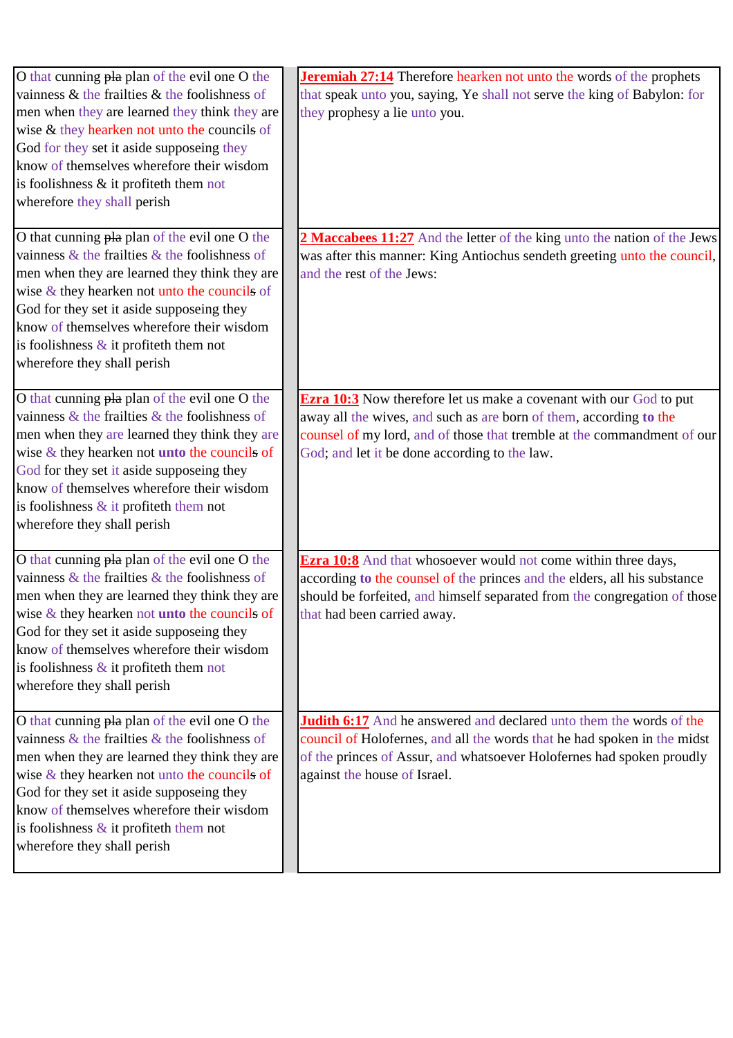| O that cunning pla plan of the evil one O the<br>vainness $\&$ the frailties $\&$ the foolishness of<br>men when they are learned they think they are<br>wise & they hearken not unto the councils of<br>God for they set it aside supposeing they<br>know of themselves wherefore their wisdom<br>is foolishness $\&$ it profiteth them not<br>wherefore they shall perish           | <b>Jeremiah 27:14</b> Therefore hearken not unto the words of the prophets<br>that speak unto you, saying, Ye shall not serve the king of Babylon: for<br>they prophesy a lie unto you.                                                                                     |
|---------------------------------------------------------------------------------------------------------------------------------------------------------------------------------------------------------------------------------------------------------------------------------------------------------------------------------------------------------------------------------------|-----------------------------------------------------------------------------------------------------------------------------------------------------------------------------------------------------------------------------------------------------------------------------|
| O that cunning pla plan of the evil one O the<br>vainness $\&$ the frailties $\&$ the foolishness of<br>men when they are learned they think they are<br>wise $&$ they hearken not unto the councils of<br>God for they set it aside supposeing they<br>know of themselves wherefore their wisdom<br>is foolishness $\&$ it profiteth them not<br>wherefore they shall perish         | 2 Maccabees 11:27 And the letter of the king unto the nation of the Jews<br>was after this manner: King Antiochus sendeth greeting unto the council,<br>and the rest of the Jews:                                                                                           |
| O that cunning pla plan of the evil one O the<br>vainness $\&$ the frailties $\&$ the foolishness of<br>men when they are learned they think they are<br>wise $\&$ they hearken not <b>unto</b> the councils of<br>God for they set it aside supposeing they<br>know of themselves wherefore their wisdom<br>is foolishness $\&$ it profiteth them not<br>wherefore they shall perish | <b>Ezra 10:3</b> Now therefore let us make a covenant with our God to put<br>away all the wives, and such as are born of them, according to the<br>counsel of my lord, and of those that tremble at the commandment of our<br>God; and let it be done according to the law. |
| O that cunning pla plan of the evil one O the<br>vainness $\&$ the frailties $\&$ the foolishness of<br>men when they are learned they think they are<br>wise $\&$ they hearken not <b>unto</b> the councils of<br>God for they set it aside supposeing they<br>know of themselves wherefore their wisdom<br>is foolishness $\&$ it profiteth them not<br>wherefore they shall perish | <b>Ezra 10:8</b> And that whosoever would not come within three days,<br>according to the counsel of the princes and the elders, all his substance<br>should be forfeited, and himself separated from the congregation of those<br>that had been carried away.              |
| O that cunning pla plan of the evil one O the<br>vainness $\&$ the frailties $\&$ the foolishness of<br>men when they are learned they think they are<br>wise $&$ they hearken not unto the councils of<br>God for they set it aside supposeing they<br>know of themselves wherefore their wisdom<br>is foolishness $\&$ it profiteth them not<br>wherefore they shall perish         | Judith 6:17 And he answered and declared unto them the words of the<br>council of Holofernes, and all the words that he had spoken in the midst<br>of the princes of Assur, and whatsoever Holofernes had spoken proudly<br>against the house of Israel.                    |